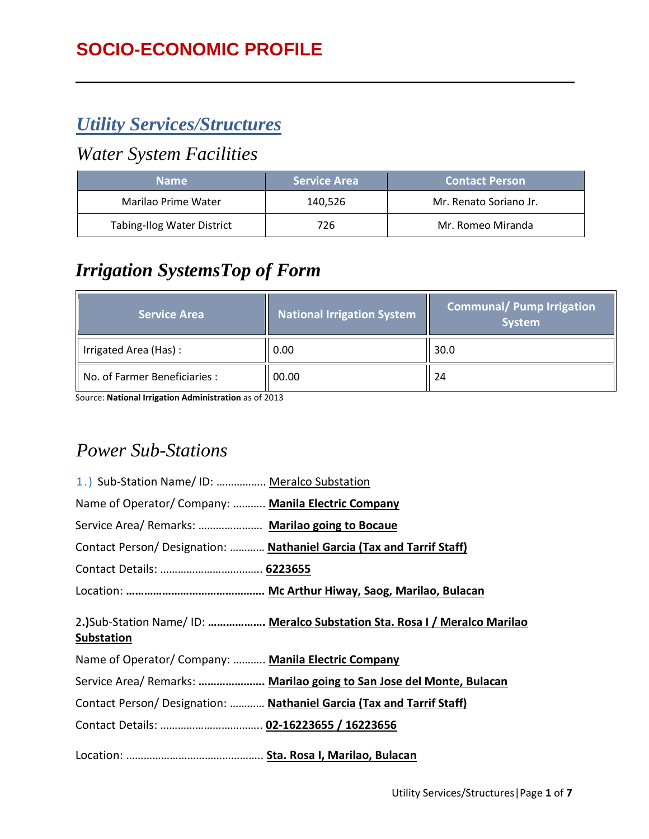# *Utility Services/Structures*

#### *Water System Facilities*

| <b>Name</b>                       | <b>Service Area</b> | <b>Contact Person</b>  |
|-----------------------------------|---------------------|------------------------|
| Marilao Prime Water               | 140,526             | Mr. Renato Soriano Jr. |
| <b>Tabing-Ilog Water District</b> | 726                 | Mr. Romeo Miranda      |

# *Irrigation SystemsTop of Form*

| Service Area                  | National Irrigation System | <b>Communal/ Pump Irrigation</b><br><b>System</b> |  |
|-------------------------------|----------------------------|---------------------------------------------------|--|
| Irrigated Area (Has):         | 0.00                       | 30.0                                              |  |
| No. of Farmer Beneficiaries : | 00.00                      | 24                                                |  |

Source: **National Irrigation Administration** as of 2013

### *Power Sub-Stations*

| 1.) Sub-Station Name/ID:  Meralco Substation        |                                                                            |
|-----------------------------------------------------|----------------------------------------------------------------------------|
| Name of Operator/Company:  Manila Electric Company  |                                                                            |
| Service Area/ Remarks:  Marilao going to Bocaue     |                                                                            |
|                                                     | Contact Person/ Designation:  Nathaniel Garcia (Tax and Tarrif Staff)      |
|                                                     |                                                                            |
|                                                     |                                                                            |
| <b>Substation</b>                                   | 2.)Sub-Station Name/ ID:  Meralco Substation Sta. Rosa I / Meralco Marilao |
| Name of Operator/ Company:  Manila Electric Company |                                                                            |
|                                                     | Service Area/ Remarks:  Marilao going to San Jose del Monte, Bulacan       |
|                                                     | Contact Person/ Designation:  Nathaniel Garcia (Tax and Tarrif Staff)      |
| Contact Details:  02-16223655 / 16223656            |                                                                            |
|                                                     |                                                                            |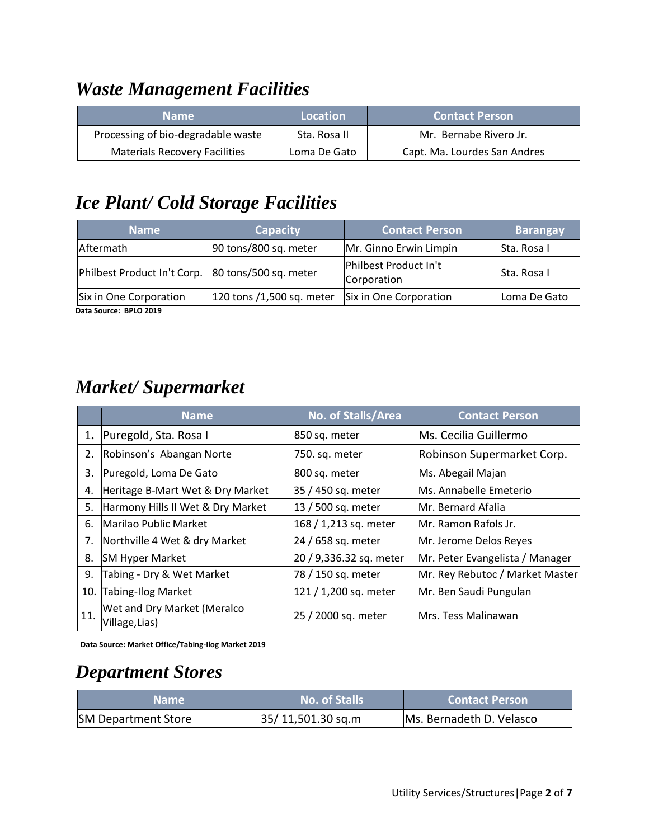## *Waste Management Facilities*

| <b>Name</b>                          | Location     | <b>Contact Person</b>        |
|--------------------------------------|--------------|------------------------------|
| Processing of bio-degradable waste   | Sta. Rosa II | Mr. Bernabe Rivero Jr.       |
| <b>Materials Recovery Facilities</b> | Loma De Gato | Capt. Ma. Lourdes San Andres |

## *Ice Plant/ Cold Storage Facilities*

| <b>Name</b>                 | <b>Capacity</b>           | <b>Contact Person</b>                | <b>Barangay</b>    |
|-----------------------------|---------------------------|--------------------------------------|--------------------|
| Aftermath                   | 90 tons/800 sq. meter     | Mr. Ginno Erwin Limpin               | <b>Sta. Rosa I</b> |
| Philbest Product In't Corp. | 80 tons/500 sq. meter     | Philbest Product In't<br>Corporation | Sta. Rosa I        |
| Six in One Corporation      | 120 tons /1,500 sq. meter | Six in One Corporation               | Loma De Gato       |

**Data Source: BPLO 2019**

## *Market/ Supermarket*

|     | <b>Name</b>                                   | No. of Stalls/Area      | <b>Contact Person</b>           |
|-----|-----------------------------------------------|-------------------------|---------------------------------|
| 1.  | Puregold, Sta. Rosa I                         | 850 sq. meter           | Ms. Cecilia Guillermo           |
| 2.  | Robinson's Abangan Norte                      | 750. sq. meter          | Robinson Supermarket Corp.      |
| 3.  | Puregold, Loma De Gato                        | 800 sq. meter           | Ms. Abegail Majan               |
| 4.  | Heritage B-Mart Wet & Dry Market              | 35 / 450 sq. meter      | Ms. Annabelle Emeterio          |
| 5.  | Harmony Hills II Wet & Dry Market             | 13 / 500 sq. meter      | lMr. Bernard Afalia             |
| 6.  | Marilao Public Market                         | 168 / 1,213 sq. meter   | Mr. Ramon Rafols Jr.            |
| 7.  | Northville 4 Wet & dry Market                 | 24 / 658 sq. meter      | Mr. Jerome Delos Reyes          |
| 8.  | <b>SM Hyper Market</b>                        | 20 / 9,336.32 sq. meter | Mr. Peter Evangelista / Manager |
| 9.  | Tabing - Dry & Wet Market                     | 78 / 150 sq. meter      | Mr. Rey Rebutoc / Market Master |
| 10. | Tabing-Ilog Market                            | 121 / 1,200 sq. meter   | Mr. Ben Saudi Pungulan          |
| 11. | Wet and Dry Market (Meralco<br>Village, Lias) | 25 / 2000 sq. meter     | Mrs. Tess Malinawan             |

**Data Source: Market Office/Tabing-Ilog Market 2019**

### *Department Stores*

| 'Name                      | <b>No. of Stalls</b> | <b>Contact Person</b>    |  |
|----------------------------|----------------------|--------------------------|--|
| <b>SM Department Store</b> | 35/11,501.30 sq.m    | Ms. Bernadeth D. Velasco |  |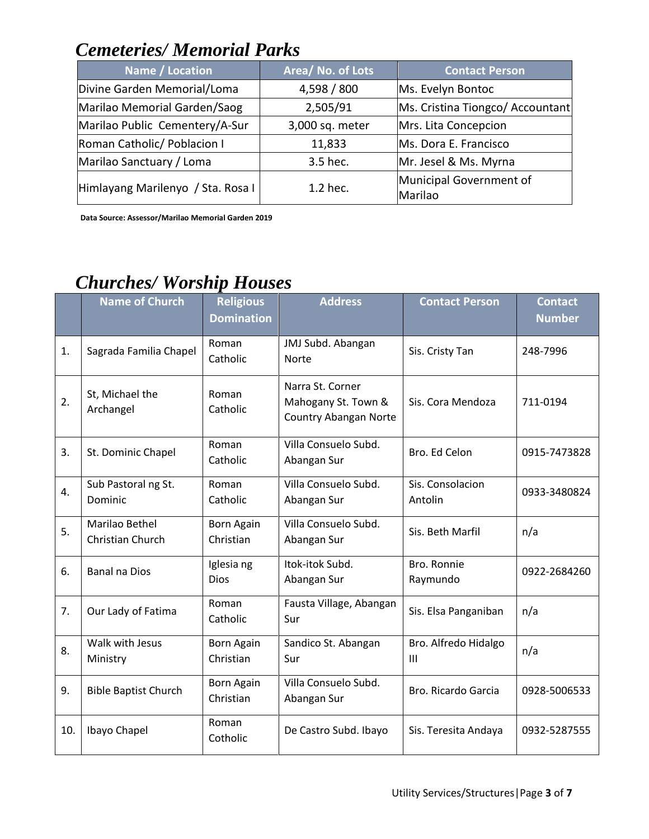## *Cemeteries/ Memorial Parks*

| Name / Location                   | Area/ No. of Lots | <b>Contact Person</b>              |
|-----------------------------------|-------------------|------------------------------------|
| Divine Garden Memorial/Loma       | 4,598 / 800       | Ms. Evelyn Bontoc                  |
| Marilao Memorial Garden/Saog      | 2,505/91          | Ms. Cristina Tiongco/ Accountant   |
| Marilao Public Cementery/A-Sur    | 3,000 sq. meter   | Mrs. Lita Concepcion               |
| Roman Catholic/ Poblacion I       | 11,833            | Ms. Dora E. Francisco              |
| Marilao Sanctuary / Loma          | 3.5 hec.          | Mr. Jesel & Ms. Myrna              |
| Himlayang Marilenyo / Sta. Rosa I | 1.2 hec.          | Municipal Government of<br>Marilao |

**Data Source: Assessor/Marilao Memorial Garden 2019** 

# *Churches/ Worship Houses*

|     | <b>Name of Church</b>              | <b>Religious</b><br><b>Domination</b> | <b>Address</b>                                                          | <b>Contact Person</b>                  | <b>Contact</b><br><b>Number</b> |
|-----|------------------------------------|---------------------------------------|-------------------------------------------------------------------------|----------------------------------------|---------------------------------|
| 1.  | Sagrada Familia Chapel             | Roman<br>Catholic                     | JMJ Subd. Abangan<br><b>Norte</b>                                       | Sis. Cristy Tan                        | 248-7996                        |
| 2.  | St, Michael the<br>Archangel       | Roman<br>Catholic                     | Narra St. Corner<br>Mahogany St. Town &<br><b>Country Abangan Norte</b> | Sis. Cora Mendoza                      | 711-0194                        |
| 3.  | St. Dominic Chapel                 | Roman<br>Catholic                     | Villa Consuelo Subd.<br>Abangan Sur                                     | Bro. Ed Celon                          | 0915-7473828                    |
| 4.  | Sub Pastoral ng St.<br>Dominic     | Roman<br>Catholic                     | Villa Consuelo Subd.<br>Abangan Sur                                     | Sis. Consolacion<br>Antolin            | 0933-3480824                    |
| 5.  | Marilao Bethel<br>Christian Church | <b>Born Again</b><br>Christian        | Villa Consuelo Subd.<br>Abangan Sur                                     | Sis. Beth Marfil                       | n/a                             |
| 6.  | <b>Banal na Dios</b>               | Iglesia ng<br><b>Dios</b>             | Itok-itok Subd.<br>Abangan Sur                                          | Bro. Ronnie<br>Raymundo                | 0922-2684260                    |
| 7.  | Our Lady of Fatima                 | Roman<br>Catholic                     | Fausta Village, Abangan<br>Sur                                          | Sis. Elsa Panganiban                   | n/a                             |
| 8.  | Walk with Jesus<br>Ministry        | <b>Born Again</b><br>Christian        | Sandico St. Abangan<br>Sur                                              | Bro. Alfredo Hidalgo<br>$\mathbf{III}$ | n/a                             |
| 9.  | <b>Bible Baptist Church</b>        | <b>Born Again</b><br>Christian        | Villa Consuelo Subd.<br>Abangan Sur                                     | Bro. Ricardo Garcia                    | 0928-5006533                    |
| 10. | Ibayo Chapel                       | Roman<br>Cotholic                     | De Castro Subd. Ibayo                                                   | Sis. Teresita Andaya                   | 0932-5287555                    |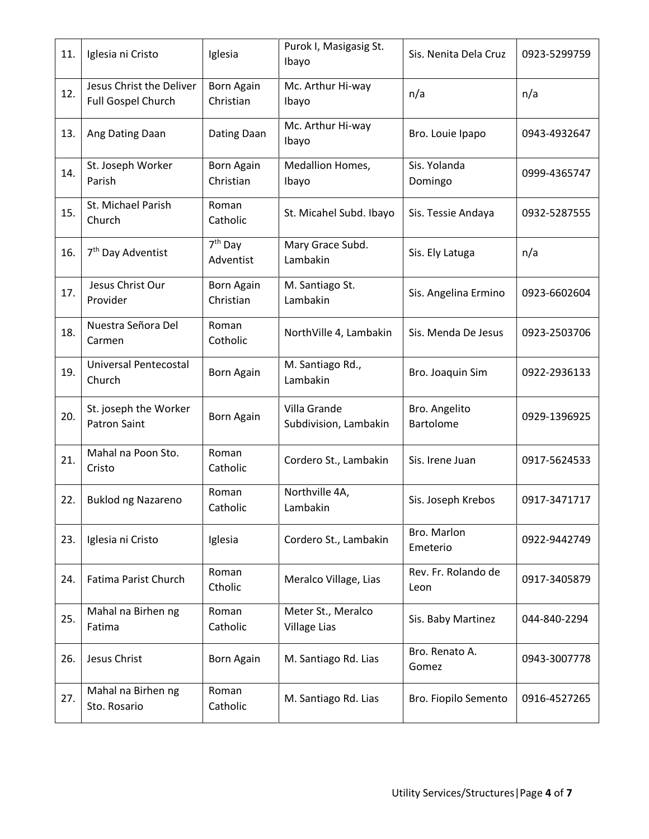| 11. | Iglesia ni Cristo                              | Iglesia                          | Purok I, Masigasig St.<br>Ibayo           | Sis. Nenita Dela Cruz       | 0923-5299759 |
|-----|------------------------------------------------|----------------------------------|-------------------------------------------|-----------------------------|--------------|
| 12. | Jesus Christ the Deliver<br>Full Gospel Church | <b>Born Again</b><br>Christian   | Mc. Arthur Hi-way<br>Ibayo                | n/a                         | n/a          |
| 13. | Ang Dating Daan                                | Dating Daan                      | Mc. Arthur Hi-way<br>Ibayo                | Bro. Louie Ipapo            | 0943-4932647 |
| 14. | St. Joseph Worker<br>Parish                    | <b>Born Again</b><br>Christian   | Medallion Homes,<br>Ibayo                 | Sis. Yolanda<br>Domingo     | 0999-4365747 |
| 15. | St. Michael Parish<br>Church                   | Roman<br>Catholic                | St. Micahel Subd. Ibayo                   | Sis. Tessie Andaya          | 0932-5287555 |
| 16. | 7 <sup>th</sup> Day Adventist                  | 7 <sup>th</sup> Day<br>Adventist | Mary Grace Subd.<br>Lambakin              | Sis. Ely Latuga             | n/a          |
| 17. | Jesus Christ Our<br>Provider                   | <b>Born Again</b><br>Christian   | M. Santiago St.<br>Lambakin               | Sis. Angelina Ermino        | 0923-6602604 |
| 18. | Nuestra Señora Del<br>Carmen                   | Roman<br>Cotholic                | NorthVille 4, Lambakin                    | Sis. Menda De Jesus         | 0923-2503706 |
| 19. | Universal Pentecostal<br>Church                | Born Again                       | M. Santiago Rd.,<br>Lambakin              | Bro. Joaquin Sim            | 0922-2936133 |
| 20. | St. joseph the Worker<br><b>Patron Saint</b>   | <b>Born Again</b>                | Villa Grande<br>Subdivision, Lambakin     | Bro. Angelito<br>Bartolome  | 0929-1396925 |
| 21. | Mahal na Poon Sto.<br>Cristo                   | Roman<br>Catholic                | Cordero St., Lambakin                     | Sis. Irene Juan             | 0917-5624533 |
| 22. | <b>Buklod ng Nazareno</b>                      | Roman<br>Catholic                | Northville 4A,<br>Lambakin                | Sis. Joseph Krebos          | 0917-3471717 |
| 23. | Iglesia ni Cristo                              | Iglesia                          | Cordero St., Lambakin                     | Bro. Marlon<br>Emeterio     | 0922-9442749 |
| 24. | Fatima Parist Church                           | Roman<br>Ctholic                 | Meralco Village, Lias                     | Rev. Fr. Rolando de<br>Leon | 0917-3405879 |
| 25. | Mahal na Birhen ng<br>Fatima                   | Roman<br>Catholic                | Meter St., Meralco<br><b>Village Lias</b> | Sis. Baby Martinez          | 044-840-2294 |
| 26. | Jesus Christ                                   | <b>Born Again</b>                | M. Santiago Rd. Lias                      | Bro. Renato A.<br>Gomez     | 0943-3007778 |
| 27. | Mahal na Birhen ng<br>Sto. Rosario             | Roman<br>Catholic                | M. Santiago Rd. Lias                      | Bro. Fiopilo Semento        | 0916-4527265 |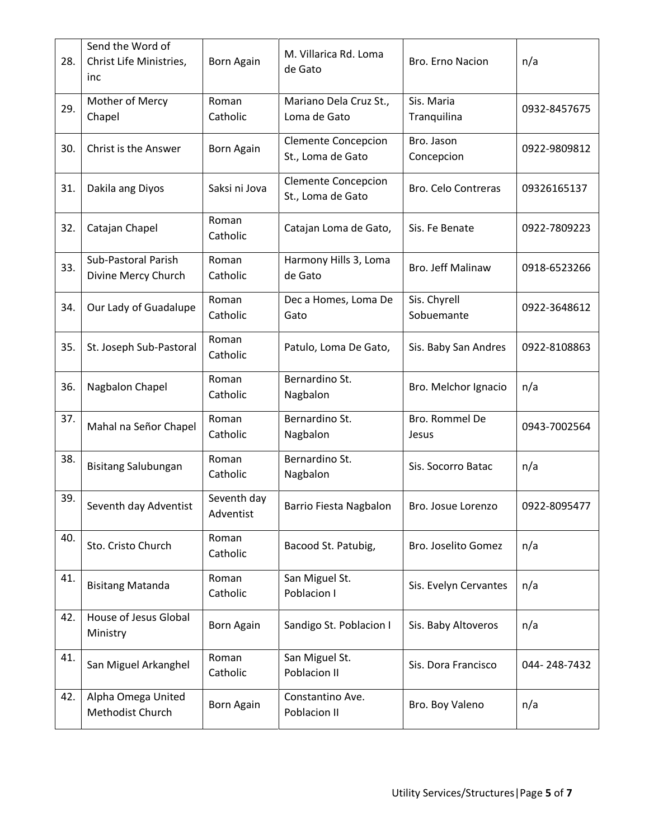| 28. | Send the Word of<br>Christ Life Ministries,<br>inc | Born Again               | M. Villarica Rd. Loma<br>de Gato                | Bro. Erno Nacion           | n/a          |
|-----|----------------------------------------------------|--------------------------|-------------------------------------------------|----------------------------|--------------|
| 29. | Mother of Mercy<br>Chapel                          | Roman<br>Catholic        | Mariano Dela Cruz St.,<br>Loma de Gato          | Sis. Maria<br>Tranquilina  | 0932-8457675 |
| 30. | Christ is the Answer                               | Born Again               | <b>Clemente Concepcion</b><br>St., Loma de Gato | Bro. Jason<br>Concepcion   | 0922-9809812 |
| 31. | Dakila ang Diyos                                   | Saksi ni Jova            | <b>Clemente Concepcion</b><br>St., Loma de Gato | <b>Bro. Celo Contreras</b> | 09326165137  |
| 32. | Catajan Chapel                                     | Roman<br>Catholic        | Catajan Loma de Gato,                           | Sis. Fe Benate             | 0922-7809223 |
| 33. | Sub-Pastoral Parish<br>Divine Mercy Church         | Roman<br>Catholic        | Harmony Hills 3, Loma<br>de Gato                | Bro. Jeff Malinaw          | 0918-6523266 |
| 34. | Our Lady of Guadalupe                              | Roman<br>Catholic        | Dec a Homes, Loma De<br>Gato                    | Sis. Chyrell<br>Sobuemante | 0922-3648612 |
| 35. | St. Joseph Sub-Pastoral                            | Roman<br>Catholic        | Patulo, Loma De Gato,                           | Sis. Baby San Andres       | 0922-8108863 |
| 36. | Nagbalon Chapel                                    | Roman<br>Catholic        | Bernardino St.<br>Nagbalon                      | Bro. Melchor Ignacio       | n/a          |
| 37. | Mahal na Señor Chapel                              | Roman<br>Catholic        | Bernardino St.<br>Nagbalon                      | Bro. Rommel De<br>Jesus    | 0943-7002564 |
| 38. | <b>Bisitang Salubungan</b>                         | Roman<br>Catholic        | Bernardino St.<br>Nagbalon                      | Sis. Socorro Batac         | n/a          |
| 39. | Seventh day Adventist                              | Seventh day<br>Adventist | Barrio Fiesta Nagbalon                          | Bro. Josue Lorenzo         | 0922-8095477 |
| 40. | Sto. Cristo Church                                 | Roman<br>Catholic        | Bacood St. Patubig,                             | Bro. Joselito Gomez        | n/a          |
| 41. | <b>Bisitang Matanda</b>                            | Roman<br>Catholic        | San Miguel St.<br>Poblacion I                   | Sis. Evelyn Cervantes      | n/a          |
| 42. | House of Jesus Global<br>Ministry                  | Born Again               | Sandigo St. Poblacion I                         | Sis. Baby Altoveros        | n/a          |
| 41. | San Miguel Arkanghel                               | Roman<br>Catholic        | San Miguel St.<br>Poblacion II                  | Sis. Dora Francisco        | 044-248-7432 |
| 42. | Alpha Omega United<br>Methodist Church             | Born Again               | Constantino Ave.<br>Poblacion II                | Bro. Boy Valeno            | n/a          |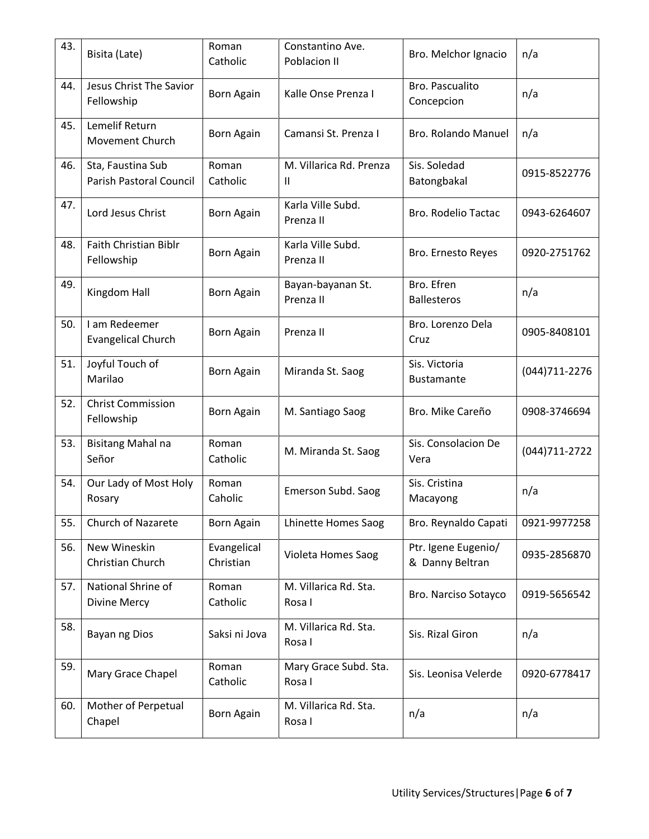| 43. | Bisita (Late)                                | Roman<br>Catholic        | Constantino Ave.<br>Poblacion II        | Bro. Melchor Ignacio                   | n/a            |
|-----|----------------------------------------------|--------------------------|-----------------------------------------|----------------------------------------|----------------|
| 44. | Jesus Christ The Savior<br>Fellowship        | Born Again               | Kalle Onse Prenza I                     | Bro. Pascualito<br>Concepcion          | n/a            |
| 45. | Lemelif Return<br>Movement Church            | Born Again               | Camansi St. Prenza I                    | Bro. Rolando Manuel                    | n/a            |
| 46. | Sta, Faustina Sub<br>Parish Pastoral Council | Roman<br>Catholic        | M. Villarica Rd. Prenza<br>$\mathbf{H}$ | Sis. Soledad<br>Batongbakal            | 0915-8522776   |
| 47. | Lord Jesus Christ                            | Born Again               | Karla Ville Subd.<br>Prenza II          | <b>Bro. Rodelio Tactac</b>             | 0943-6264607   |
| 48. | <b>Faith Christian Biblr</b><br>Fellowship   | <b>Born Again</b>        | Karla Ville Subd.<br>Prenza II          | Bro. Ernesto Reyes                     | 0920-2751762   |
| 49. | Kingdom Hall                                 | <b>Born Again</b>        | Bayan-bayanan St.<br>Prenza II          | Bro. Efren<br><b>Ballesteros</b>       | n/a            |
| 50. | I am Redeemer<br><b>Evangelical Church</b>   | <b>Born Again</b>        | Prenza II                               | Bro. Lorenzo Dela<br>Cruz              | 0905-8408101   |
| 51. | Joyful Touch of<br>Marilao                   | Born Again               | Miranda St. Saog                        | Sis. Victoria<br><b>Bustamante</b>     | (044) 711-2276 |
| 52. | <b>Christ Commission</b><br>Fellowship       | Born Again               | M. Santiago Saog                        | Bro. Mike Careño                       | 0908-3746694   |
| 53. | <b>Bisitang Mahal na</b><br>Señor            | Roman<br>Catholic        | M. Miranda St. Saog                     | Sis. Consolacion De<br>Vera            | (044) 711-2722 |
| 54. | Our Lady of Most Holy<br>Rosary              | Roman<br>Caholic         | Emerson Subd. Saog                      | Sis. Cristina<br>Macayong              | n/a            |
| 55. | <b>Church of Nazarete</b>                    | Born Again               | Lhinette Homes Saog                     | Bro. Reynaldo Capati                   | 0921-9977258   |
| 56. | New Wineskin<br>Christian Church             | Evangelical<br>Christian | Violeta Homes Saog                      | Ptr. Igene Eugenio/<br>& Danny Beltran | 0935-2856870   |
| 57. | National Shrine of<br>Divine Mercy           | Roman<br>Catholic        | M. Villarica Rd. Sta.<br>Rosa I         | Bro. Narciso Sotayco                   | 0919-5656542   |
| 58. | Bayan ng Dios                                | Saksi ni Jova            | M. Villarica Rd. Sta.<br>Rosa I         | Sis. Rizal Giron                       | n/a            |
| 59. | Mary Grace Chapel                            | Roman<br>Catholic        | Mary Grace Subd. Sta.<br>Rosa I         | Sis. Leonisa Velerde                   | 0920-6778417   |
| 60. | Mother of Perpetual<br>Chapel                | Born Again               | M. Villarica Rd. Sta.<br>Rosa I         | n/a                                    | n/a            |